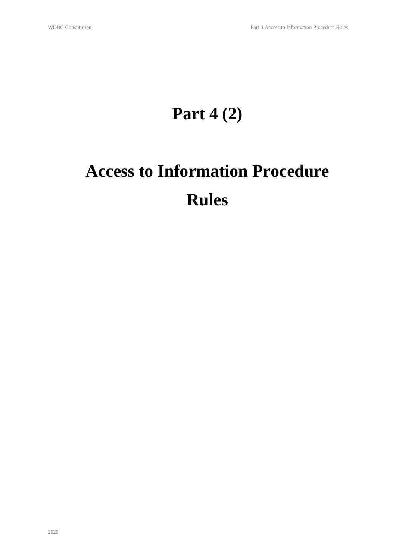# **Part 4 (2)**

# **Access to Information Procedure Rules**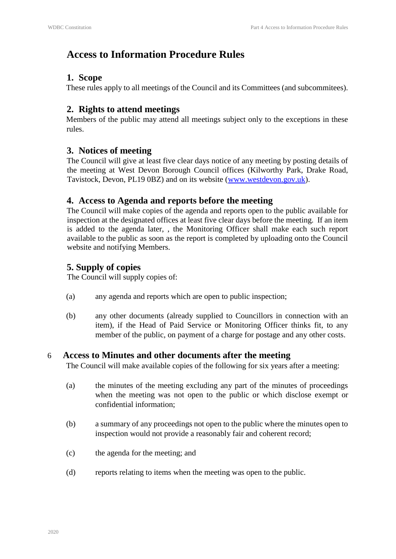# **Access to Information Procedure Rules**

#### **1. Scope**

These rules apply to all meetings of the Council and its Committees (and subcommitees).

### **2. Rights to attend meetings**

Members of the public may attend all meetings subject only to the exceptions in these rules.

#### **3. Notices of meeting**

The Council will give at least five clear days notice of any meeting by posting details of the meeting at West Devon Borough Council offices (Kilworthy Park, Drake Road, Tavistock, Devon, PL19 0BZ) and on its website (www.westdevon.gov.uk).

#### **4. Access to Agenda and reports before the meeting**

The Council will make copies of the agenda and reports open to the public available for inspection at the designated offices at least five clear days before the meeting. If an item is added to the agenda later, , the Monitoring Officer shall make each such report available to the public as soon as the report is completed by uploading onto the Council website and notifying Members.

## **5. Supply of copies**

The Council will supply copies of:

- (a) any agenda and reports which are open to public inspection;
- (b) any other documents (already supplied to Councillors in connection with an item), if the Head of Paid Service or Monitoring Officer thinks fit, to any member of the public, on payment of a charge for postage and any other costs.

#### 6 **Access to Minutes and other documents after the meeting**

The Council will make available copies of the following for six years after a meeting:

- (a) the minutes of the meeting excluding any part of the minutes of proceedings when the meeting was not open to the public or which disclose exempt or confidential information;
- (b) a summary of any proceedings not open to the public where the minutes open to inspection would not provide a reasonably fair and coherent record;
- (c) the agenda for the meeting; and
- (d) reports relating to items when the meeting was open to the public.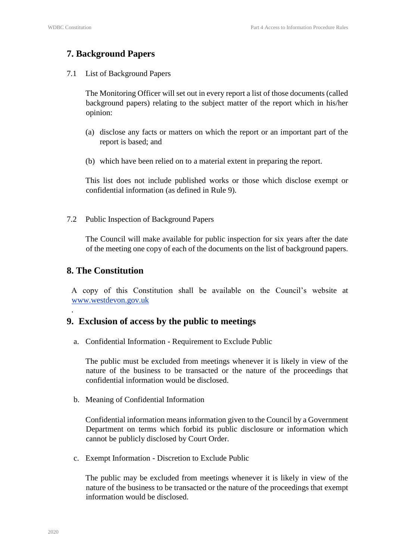#### **7. Background Papers**

7.1 List of Background Papers

The Monitoring Officer will set out in every report a list of those documents (called background papers) relating to the subject matter of the report which in his/her opinion:

- (a) disclose any facts or matters on which the report or an important part of the report is based; and
- (b) which have been relied on to a material extent in preparing the report.

This list does not include published works or those which disclose exempt or confidential information (as defined in Rule 9).

7.2 Public Inspection of Background Papers

The Council will make available for public inspection for six years after the date of the meeting one copy of each of the documents on the list of background papers.

#### **8. The Constitution**

.

A copy of this Constitution shall be available on the Council's website at www.westdevon.gov.uk

#### **9. Exclusion of access by the public to meetings**

a. Confidential Information - Requirement to Exclude Public

The public must be excluded from meetings whenever it is likely in view of the nature of the business to be transacted or the nature of the proceedings that confidential information would be disclosed.

b. Meaning of Confidential Information

Confidential information means information given to the Council by a Government Department on terms which forbid its public disclosure or information which cannot be publicly disclosed by Court Order.

c. Exempt Information - Discretion to Exclude Public

The public may be excluded from meetings whenever it is likely in view of the nature of the business to be transacted or the nature of the proceedings that exempt information would be disclosed.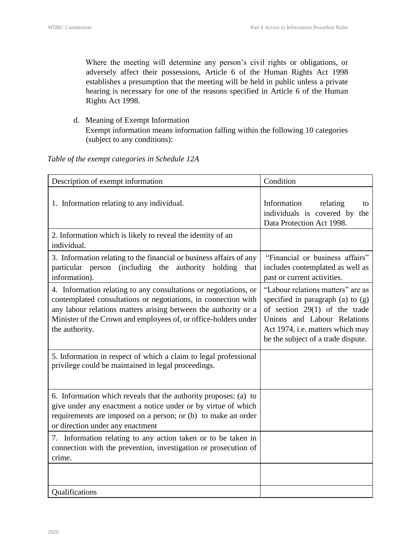Where the meeting will determine any person's civil rights or obligations, or adversely affect their possessions, Article 6 of the Human Rights Act 1998 establishes a presumption that the meeting will be held in public unless a private hearing is necessary for one of the reasons specified in Article 6 of the Human Rights Act 1998.

d. Meaning of Exempt Information Exempt information means information falling within the following 10 categories (subject to any conditions):

#### *Table of the exempt categories in Schedule 12A*

| Description of exempt information                                                                                                                                                                                                                                                          | Condition                                                                                                                                                                                                            |
|--------------------------------------------------------------------------------------------------------------------------------------------------------------------------------------------------------------------------------------------------------------------------------------------|----------------------------------------------------------------------------------------------------------------------------------------------------------------------------------------------------------------------|
| 1. Information relating to any individual.                                                                                                                                                                                                                                                 | Information<br>relating<br>to<br>individuals is covered by<br>the<br>Data Protection Act 1998.                                                                                                                       |
| 2. Information which is likely to reveal the identity of an<br>individual.                                                                                                                                                                                                                 |                                                                                                                                                                                                                      |
| 3. Information relating to the financial or business affairs of any<br>particular person (including the<br>authority<br>holding<br>that<br>information).                                                                                                                                   | "Financial or business affairs"<br>includes contemplated as well as<br>past or current activities.                                                                                                                   |
| 4. Information relating to any consultations or negotiations, or<br>contemplated consultations or negotiations, in connection with<br>any labour relations matters arising between the authority or a<br>Minister of the Crown and employees of, or office-holders under<br>the authority. | "Labour relations matters" are as<br>specified in paragraph (a) to $(g)$<br>of section $29(1)$ of the trade<br>Unions and Labour Relations<br>Act 1974, i.e. matters which may<br>be the subject of a trade dispute. |
| 5. Information in respect of which a claim to legal professional<br>privilege could be maintained in legal proceedings.                                                                                                                                                                    |                                                                                                                                                                                                                      |
| 6. Information which reveals that the authority proposes: (a) to<br>give under any enactment a notice under or by virtue of which<br>requirements are imposed on a person; or (b) to make an order<br>or direction under any enactment                                                     |                                                                                                                                                                                                                      |
| 7. Information relating to any action taken or to be taken in<br>connection with the prevention, investigation or prosecution of<br>crime.                                                                                                                                                 |                                                                                                                                                                                                                      |
|                                                                                                                                                                                                                                                                                            |                                                                                                                                                                                                                      |
| Qualifications                                                                                                                                                                                                                                                                             |                                                                                                                                                                                                                      |